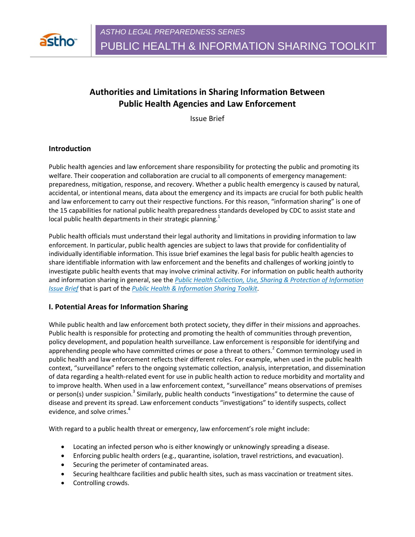

# **Authorities and Limitations in Sharing Information Between Public Health Agencies and Law Enforcement**

Issue Brief

#### **Introduction**

Public health agencies and law enforcement share responsibility for protecting the public and promoting its welfare. Their cooperation and collaboration are crucial to all components of emergency management: preparedness, mitigation, response, and recovery. Whether a public health emergency is caused by natural, accidental, or intentional means, data about the emergency and its impacts are crucial for both public health and law enforcement to carry out their respective functions. For this reason, "information sharing" is one of the 15 capabilities for national public health preparedness standards developed by CDC to assist state and local public health departments in their strategic planning.<sup>1</sup>

Public health officials must understand their legal authority and limitations in providing information to law enforcement. In particular, public health agencies are subject to laws that provide for confidentiality of individually identifiable information. This issue brief examines the legal basis for public health agencies to share identifiable information with law enforcement and the benefits and challenges of working jointly to investigate public health events that may involve criminal activity. For information on public health authority and information sharing in general, see the *Public Health Collection, Use, Sharing & Protection of Information Issue Brief* that is part of the *Public Health & Information Sharing Toolkit*.

#### **I. Potential Areas for Information Sharing**

While public health and law enforcement both protect society, they differ in their missions and approaches. Public health is responsible for protecting and promoting the health of communities through prevention, policy development, and population health surveillance. Law enforcement is responsible for identifying and apprehending people who have committed crimes or pose a threat to others.<sup>2</sup> Common terminology used in public health and law enforcement reflects their different roles. For example, when used in the public health context, "surveillance" refers to the ongoing systematic collection, analysis, interpretation, and dissemination of data regarding a health-related event for use in public health action to reduce morbidity and mortality and to improve health. When used in a law enforcement context, "surveillance" means observations of premises or person(s) under suspicion.<sup>3</sup> Similarly, public health conducts "investigations" to determine the cause of disease and prevent its spread. Law enforcement conducts "investigations" to identify suspects, collect evidence, and solve crimes.<sup>4</sup>

With regard to a public health threat or emergency, law enforcement's role might include:

- Locating an infected person who is either knowingly or unknowingly spreading a disease.
- Enforcing public health orders (e.g., quarantine, isolation, travel restrictions, and evacuation).
- Securing the perimeter of contaminated areas.
- Securing healthcare facilities and public health sites, such as mass vaccination or treatment sites.
- Controlling crowds.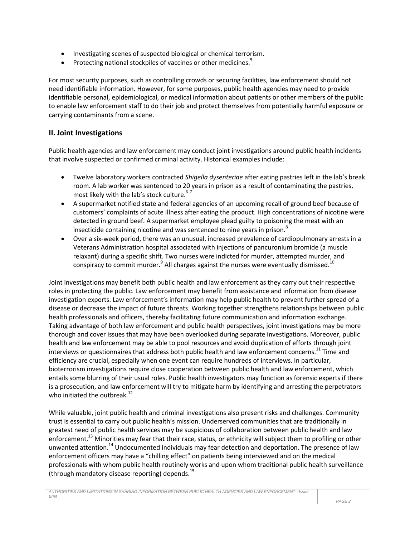- Investigating scenes of suspected biological or chemical terrorism.
- Protecting national stockpiles of vaccines or other medicines.<sup>5</sup>

For most security purposes, such as controlling crowds or securing facilities, law enforcement should not need identifiable information. However, for some purposes, public health agencies may need to provide identifiable personal, epidemiological, or medical information about patients or other members of the public to enable law enforcement staff to do their job and protect themselves from potentially harmful exposure or carrying contaminants from a scene.

### **II. Joint Investigations**

Public health agencies and law enforcement may conduct joint investigations around public health incidents that involve suspected or confirmed criminal activity. Historical examples include:

- Twelve laboratory workers contracted *Shigella dysenteriae* after eating pastries left in the lab's break room. A lab worker was sentenced to 20 years in prison as a result of contaminating the pastries, most likely with the lab's stock culture.<sup>67</sup>
- A supermarket notified state and federal agencies of an upcoming recall of ground beef because of customers' complaints of acute illness after eating the product. High concentrations of nicotine were detected in ground beef. A supermarket employee plead guilty to poisoning the meat with an insecticide containing nicotine and was sentenced to nine years in prison.<sup>8</sup>
- Over a six-week period, there was an unusual, increased prevalence of cardiopulmonary arrests in a Veterans Administration hospital associated with injections of pancuronium bromide (a muscle relaxant) during a specific shift. Two nurses were indicted for murder, attempted murder, and conspiracy to commit murder. $^9$  All charges against the nurses were eventually dismissed.<sup>10</sup>

Joint investigations may benefit both public health and law enforcement as they carry out their respective roles in protecting the public. Law enforcement may benefit from assistance and information from disease investigation experts. Law enforcement's information may help public health to prevent further spread of a disease or decrease the impact of future threats. Working together strengthens relationships between public health professionals and officers, thereby facilitating future communication and information exchange. Taking advantage of both law enforcement and public health perspectives, joint investigations may be more thorough and cover issues that may have been overlooked during separate investigations. Moreover, public health and law enforcement may be able to pool resources and avoid duplication of efforts through joint interviews or questionnaires that address both public health and law enforcement concerns.<sup>11</sup> Time and efficiency are crucial, especially when one event can require hundreds of interviews. In particular, bioterrorism investigations require close cooperation between public health and law enforcement, which entails some blurring of their usual roles. Public health investigators may function as forensic experts if there is a prosecution, and law enforcement will try to mitigate harm by identifying and arresting the perpetrators who initiated the outbreak.<sup>12</sup>

While valuable, joint public health and criminal investigations also present risks and challenges. Community trust is essential to carry out public health's mission. Underserved communities that are traditionally in greatest need of public health services may be suspicious of collaboration between public health and law enforcement.<sup>13</sup> Minorities may fear that their race, status, or ethnicity will subject them to profiling or other unwanted attention.<sup>14</sup> Undocumented individuals may fear detection and deportation. The presence of law enforcement officers may have a "chilling effect" on patients being interviewed and on the medical professionals with whom public health routinely works and upon whom traditional public health surveillance (through mandatory disease reporting) depends.<sup>15</sup>

*AUTHORITIES AND LIMITATIONS IN SHARING INFORMATION BETWEEN PUBLIC HEALTH AGENCIES AND LAW ENFORCEMENT –Issue Brief*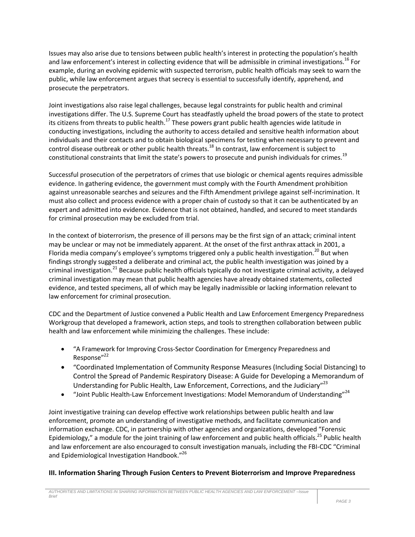Issues may also arise due to tensions between public health's interest in protecting the population's health and law enforcement's interest in collecting evidence that will be admissible in criminal investigations.<sup>16</sup> For example, during an evolving epidemic with suspected terrorism, public health officials may seek to warn the public, while law enforcement argues that secrecy is essential to successfully identify, apprehend, and prosecute the perpetrators.

Joint investigations also raise legal challenges, because legal constraints for public health and criminal investigations differ. The U.S. Supreme Court has steadfastly upheld the broad powers of the state to protect its citizens from threats to public health.<sup>17</sup> These powers grant public health agencies wide latitude in conducting investigations, including the authority to access detailed and sensitive health information about individuals and their contacts and to obtain biological specimens for testing when necessary to prevent and control disease outbreak or other public health threats.<sup>18</sup> In contrast, law enforcement is subject to constitutional constraints that limit the state's powers to prosecute and punish individuals for crimes.<sup>19</sup>

Successful prosecution of the perpetrators of crimes that use biologic or chemical agents requires admissible evidence. In gathering evidence, the government must comply with the Fourth Amendment prohibition against unreasonable searches and seizures and the Fifth Amendment privilege against self-incrimination. It must also collect and process evidence with a proper chain of custody so that it can be authenticated by an expert and admitted into evidence. Evidence that is not obtained, handled, and secured to meet standards for criminal prosecution may be excluded from trial.

In the context of bioterrorism, the presence of ill persons may be the first sign of an attack; criminal intent may be unclear or may not be immediately apparent. At the onset of the first anthrax attack in 2001, a Florida media company's employee's symptoms triggered only a public health investigation.<sup>20</sup> But when findings strongly suggested a deliberate and criminal act, the public health investigation was joined by a criminal investigation.<sup>21</sup> Because public health officials typically do not investigate criminal activity, a delayed criminal investigation may mean that public health agencies have already obtained statements, collected evidence, and tested specimens, all of which may be legally inadmissible or lacking information relevant to law enforcement for criminal prosecution.

CDC and the Department of Justice convened a Public Health and Law Enforcement Emergency Preparedness Workgroup that developed a framework, action steps, and tools to strengthen collaboration between public health and law enforcement while minimizing the challenges. These include:

- "A Framework for Improving Cross-Sector Coordination for Emergency Preparedness and Response"<sup>22</sup>
- "Coordinated Implementation of Community Response Measures (Including Social Distancing) to Control the Spread of Pandemic Respiratory Disease: A Guide for Developing a Memorandum of Understanding for Public Health, Law Enforcement, Corrections, and the Judiciary"<sup>23</sup>
- "Joint Public Health-Law Enforcement Investigations: Model Memorandum of Understanding"<sup>24</sup>

Joint investigative training can develop effective work relationships between public health and law enforcement, promote an understanding of investigative methods, and facilitate communication and information exchange. CDC, in partnership with other agencies and organizations, developed "Forensic Epidemiology," a module for the joint training of law enforcement and public health officials.<sup>25</sup> Public health and law enforcement are also encouraged to consult investigation manuals, including the FBI-CDC "Criminal and Epidemiological Investigation Handbook."<sup>26</sup>

#### **III. Information Sharing Through Fusion Centers to Prevent Bioterrorism and Improve Preparedness**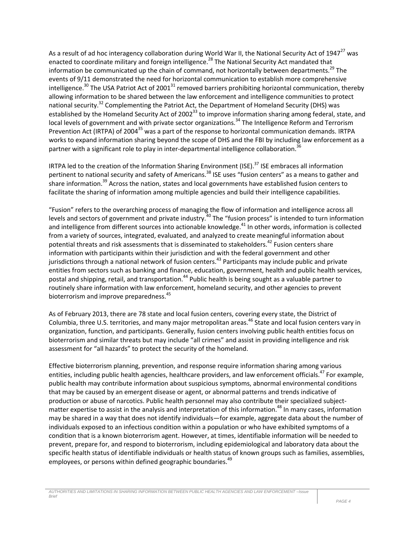As a result of ad hoc interagency collaboration during World War II, the National Security Act of 1947<sup>27</sup> was enacted to coordinate military and foreign intelligence.<sup>28</sup> The National Security Act mandated that information be communicated up the chain of command, not horizontally between departments.<sup>29</sup> The events of 9/11 demonstrated the need for horizontal communication to establish more comprehensive intelligence.<sup>30</sup> The USA Patriot Act of 2001<sup>31</sup> removed barriers prohibiting horizontal communication, thereby allowing information to be shared between the law enforcement and intelligence communities to protect national security.<sup>32</sup> Complementing the Patriot Act, the Department of Homeland Security (DHS) was established by the Homeland Security Act of 2002<sup>33</sup> to improve information sharing among federal, state, and local levels of government and with private sector organizations.<sup>34</sup> The Intelligence Reform and Terrorism Prevention Act (IRTPA) of 2004<sup>35</sup> was a part of the response to horizontal communication demands. IRTPA works to expand information sharing beyond the scope of DHS and the FBI by including law enforcement as a partner with a significant role to play in inter-departmental intelligence collaboration.<sup>36</sup>

IRTPA led to the creation of the Information Sharing Environment (ISE).<sup>37</sup> ISE embraces all information pertinent to national security and safety of Americans.<sup>38</sup> ISE uses "fusion centers" as a means to gather and share information.<sup>39</sup> Across the nation, states and local governments have established fusion centers to facilitate the sharing of information among multiple agencies and build their intelligence capabilities.

"Fusion" refers to the overarching process of managing the flow of information and intelligence across all levels and sectors of government and private industry.<sup>40</sup> The "fusion process" is intended to turn information and intelligence from different sources into actionable knowledge.<sup>41</sup> In other words, information is collected from a variety of sources, integrated, evaluated, and analyzed to create meaningful information about potential threats and risk assessments that is disseminated to stakeholders.<sup>42</sup> Fusion centers share information with participants within their jurisdiction and with the federal government and other jurisdictions through a national network of fusion centers.<sup>43</sup> Participants may include public and private entities from sectors such as banking and finance, education, government, health and public health services, postal and shipping, retail, and transportation.<sup>44</sup> Public health is being sought as a valuable partner to routinely share information with law enforcement, homeland security, and other agencies to prevent bioterrorism and improve preparedness.<sup>45</sup>

As of February 2013, there are 78 state and local fusion centers, covering every state, the District of Columbia, three U.S. territories, and many major metropolitan areas.<sup>46</sup> State and local fusion centers vary in organization, function, and participants. Generally, fusion centers involving public health entities focus on bioterrorism and similar threats but may include "all crimes" and assist in providing intelligence and risk assessment for "all hazards" to protect the security of the homeland.

Effective bioterrorism planning, prevention, and response require information sharing among various entities, including public health agencies, healthcare providers, and law enforcement officials.<sup>47</sup> For example, public health may contribute information about suspicious symptoms, abnormal environmental conditions that may be caused by an emergent disease or agent, or abnormal patterns and trends indicative of production or abuse of narcotics. Public health personnel may also contribute their specialized subjectmatter expertise to assist in the analysis and interpretation of this information.<sup>48</sup> In many cases, information may be shared in a way that does not identify individuals—for example, aggregate data about the number of individuals exposed to an infectious condition within a population or who have exhibited symptoms of a condition that is a known bioterrorism agent. However, at times, identifiable information will be needed to prevent, prepare for, and respond to bioterrorism, including epidemiological and laboratory data about the specific health status of identifiable individuals or health status of known groups such as families, assemblies, employees, or persons within defined geographic boundaries.<sup>49</sup>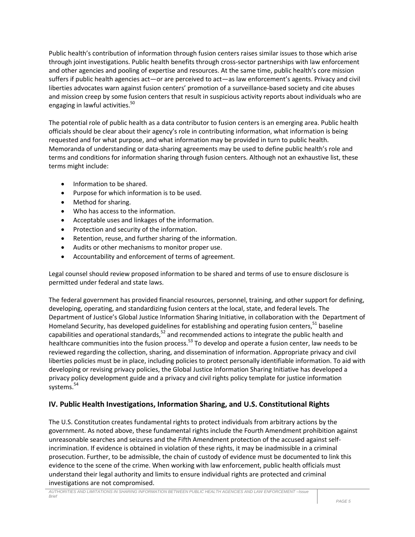Public health's contribution of information through fusion centers raises similar issues to those which arise through joint investigations. Public health benefits through cross-sector partnerships with law enforcement and other agencies and pooling of expertise and resources. At the same time, public health's core mission suffers if public health agencies act—or are perceived to act—as law enforcement's agents. Privacy and civil liberties advocates warn against fusion centers' promotion of a surveillance-based society and cite abuses and mission creep by some fusion centers that result in suspicious activity reports about individuals who are engaging in lawful activities.<sup>50</sup>

The potential role of public health as a data contributor to fusion centers is an emerging area. Public health officials should be clear about their agency's role in contributing information, what information is being requested and for what purpose, and what information may be provided in turn to public health. Memoranda of understanding or data-sharing agreements may be used to define public health's role and terms and conditions for information sharing through fusion centers. Although not an exhaustive list, these terms might include:

- Information to be shared.
- Purpose for which information is to be used.
- Method for sharing.
- Who has access to the information.
- Acceptable uses and linkages of the information.
- Protection and security of the information.
- Retention, reuse, and further sharing of the information.
- Audits or other mechanisms to monitor proper use.
- Accountability and enforcement of terms of agreement.

Legal counsel should review proposed information to be shared and terms of use to ensure disclosure is permitted under federal and state laws.

The federal government has provided financial resources, personnel, training, and other support for defining, developing, operating, and standardizing fusion centers at the local, state, and federal levels. The Department of Justice's Global Justice Information Sharing Initiative, in collaboration with the Department of Homeland Security, has developed guidelines for establishing and operating fusion centers,  $51$  baseline capabilities and operational standards,<sup>52</sup> and recommended actions to integrate the public health and healthcare communities into the fusion process.<sup>53</sup> To develop and operate a fusion center, law needs to be reviewed regarding the collection, sharing, and dissemination of information. Appropriate privacy and civil liberties policies must be in place, including policies to protect personally identifiable information. To aid with developing or revising privacy policies, the Global Justice Information Sharing Initiative has developed a privacy policy development guide and a privacy and civil rights policy template for justice information systems. 54

# **IV. Public Health Investigations, Information Sharing, and U.S. Constitutional Rights**

The U.S. Constitution creates fundamental rights to protect individuals from arbitrary actions by the government. As noted above, these fundamental rights include the Fourth Amendment prohibition against unreasonable searches and seizures and the Fifth Amendment protection of the accused against selfincrimination. If evidence is obtained in violation of these rights, it may be inadmissible in a criminal prosecution. Further, to be admissible, the chain of custody of evidence must be documented to link this evidence to the scene of the crime. When working with law enforcement, public health officials must understand their legal authority and limits to ensure individual rights are protected and criminal investigations are not compromised.

*AUTHORITIES AND LIMITATIONS IN SHARING INFORMATION BETWEEN PUBLIC HEALTH AGENCIES AND LAW ENFORCEMENT –Issue Brief*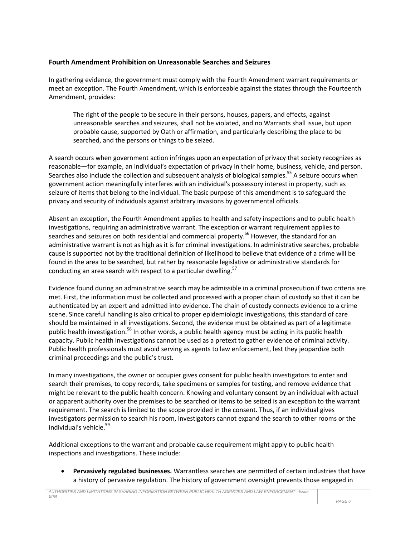#### **Fourth Amendment Prohibition on Unreasonable Searches and Seizures**

In gathering evidence, the government must comply with the Fourth Amendment warrant requirements or meet an exception. The Fourth Amendment, which is enforceable against the states through the Fourteenth Amendment, provides:

The right of the people to be secure in their persons, houses, papers, and effects, against unreasonable searches and seizures, shall not be violated, and no Warrants shall issue, but upon probable cause, supported by Oath or affirmation, and particularly describing the place to be searched, and the persons or things to be seized.

A search occurs when government action infringes upon an expectation of privacy that society recognizes as reasonable—for example, an individual's expectation of privacy in their home, business, vehicle, and person. Searches also include the collection and subsequent analysis of biological samples.<sup>55</sup> A seizure occurs when government action meaningfully interferes with an individual's possessory interest in property, such as seizure of items that belong to the individual. The basic purpose of this amendment is to safeguard the privacy and security of individuals against arbitrary invasions by governmental officials.

Absent an exception, the Fourth Amendment applies to health and safety inspections and to public health investigations, requiring an administrative warrant. The exception or warrant requirement applies to searches and seizures on both residential and commercial property.<sup>56</sup> However, the standard for an administrative warrant is not as high as it is for criminal investigations. In administrative searches, probable cause is supported not by the traditional definition of likelihood to believe that evidence of a crime will be found in the area to be searched, but rather by reasonable legislative or administrative standards for conducting an area search with respect to a particular dwelling.<sup>57</sup>

Evidence found during an administrative search may be admissible in a criminal prosecution if two criteria are met. First, the information must be collected and processed with a proper chain of custody so that it can be authenticated by an expert and admitted into evidence. The chain of custody connects evidence to a crime scene. Since careful handling is also critical to proper epidemiologic investigations, this standard of care should be maintained in all investigations. Second, the evidence must be obtained as part of a legitimate public health investigation.<sup>58</sup> In other words, a public health agency must be acting in its public health capacity. Public health investigations cannot be used as a pretext to gather evidence of criminal activity. Public health professionals must avoid serving as agents to law enforcement, lest they jeopardize both criminal proceedings and the public's trust.

In many investigations, the owner or occupier gives consent for public health investigators to enter and search their premises, to copy records, take specimens or samples for testing, and remove evidence that might be relevant to the public health concern. Knowing and voluntary consent by an individual with actual or apparent authority over the premises to be searched or items to be seized is an exception to the warrant requirement. The search is limited to the scope provided in the consent. Thus, if an individual gives investigators permission to search his room, investigators cannot expand the search to other rooms or the individual's vehicle.<sup>59</sup>

Additional exceptions to the warrant and probable cause requirement might apply to public health inspections and investigations. These include:

 **Pervasively regulated businesses.** Warrantless searches are permitted of certain industries that have a history of pervasive regulation. The history of government oversight prevents those engaged in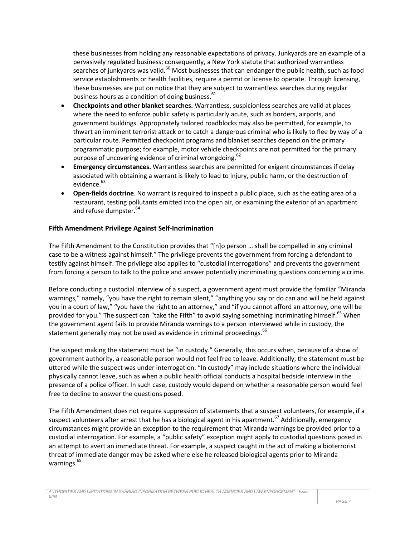these businesses from holding any reasonable expectations of privacy. Junkyards are an example of a pervasively regulated business; consequently, a New York statute that authorized warrantless searches of junkyards was valid.<sup>60</sup> Most businesses that can endanger the public health, such as food service establishments or health facilities, require a permit or license to operate. Through licensing. these businesses are put on notice that they are subject to warrantless searches during regular business hours as a condition of doing business.<sup>61</sup>

- **Checkpoints and other blanket searches.** Warrantless, suspicionless searches are valid at places where the need to enforce public safety is particularly acute, such as borders, airports, and government buildings. Appropriately tailored roadblocks may also be permitted, for example, to thwart an imminent terrorist attack or to catch a dangerous criminal who is likely to flee by way of a particular route. Permitted checkpoint programs and blanket searches depend on the primary programmatic purpose; for example, motor vehicle checkpoints are not permitted for the primary purpose of uncovering evidence of criminal wrongdoing.<sup>62</sup>
- **Emergency circumstances.** Warrantless searches are permitted for exigent circumstances if delay associated with obtaining a warrant is likely to lead to injury, public harm, or the destruction of evidence.<sup>63</sup>
- **Open-fields doctrine**. No warrant is required to inspect a public place, such as the eating area of a restaurant, testing pollutants emitted into the open air, or examining the exterior of an apartment and refuse dumpster.<sup>64</sup>

### **Fifth Amendment Privilege Against Self-Incrimination**

The Fifth Amendment to the Constitution provides that "[n]o person … shall be compelled in any criminal case to be a witness against himself." The privilege prevents the government from forcing a defendant to testify against himself. The privilege also applies to "custodial interrogations" and prevents the government from forcing a person to talk to the police and answer potentially incriminating questions concerning a crime.

Before conducting a custodial interview of a suspect, a government agent must provide the familiar "Miranda warnings," namely, "you have the right to remain silent," "anything you say or do can and will be held against you in a court of law," "you have the right to an attorney," and "if you cannot afford an attorney, one will be provided for you." The suspect can "take the Fifth" to avoid saying something incriminating himself.<sup>65</sup> When the government agent fails to provide Miranda warnings to a person interviewed while in custody, the statement generally may not be used as evidence in criminal proceedings.<sup>66</sup>

The suspect making the statement must be "in custody." Generally, this occurs when, because of a show of government authority, a reasonable person would not feel free to leave. Additionally, the statement must be uttered while the suspect was under interrogation. "In custody" may include situations where the individual physically cannot leave, such as when a public health official conducts a hospital bedside interview in the presence of a police officer. In such case, custody would depend on whether a reasonable person would feel free to decline to answer the questions posed.

The Fifth Amendment does not require suppression of statements that a suspect volunteers, for example, if a suspect volunteers after arrest that he has a biological agent in his apartment.<sup>67</sup> Additionally, emergency circumstances might provide an exception to the requirement that Miranda warnings be provided prior to a custodial interrogation. For example, a "public safety" exception might apply to custodial questions posed in an attempt to avert an immediate threat. For example, a suspect caught in the act of making a bioterrorist threat of immediate danger may be asked where else he released biological agents prior to Miranda warnings.<sup>68</sup>

*AUTHORITIES AND LIMITATIONS IN SHARING INFORMATION BETWEEN PUBLIC HEALTH AGENCIES AND LAW ENFORCEMENT –Issue Brief*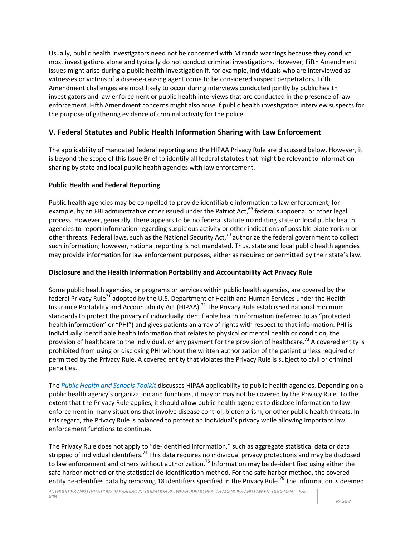Usually, public health investigators need not be concerned with Miranda warnings because they conduct most investigations alone and typically do not conduct criminal investigations. However, Fifth Amendment issues might arise during a public health investigation if, for example, individuals who are interviewed as witnesses or victims of a disease-causing agent come to be considered suspect perpetrators. Fifth Amendment challenges are most likely to occur during interviews conducted jointly by public health investigators and law enforcement or public health interviews that are conducted in the presence of law enforcement. Fifth Amendment concerns might also arise if public health investigators interview suspects for the purpose of gathering evidence of criminal activity for the police.

# **V. Federal Statutes and Public Health Information Sharing with Law Enforcement**

The applicability of mandated federal reporting and the HIPAA Privacy Rule are discussed below. However, it is beyond the scope of this Issue Brief to identify all federal statutes that might be relevant to information sharing by state and local public health agencies with law enforcement.

### **Public Health and Federal Reporting**

Public health agencies may be compelled to provide identifiable information to law enforcement, for example, by an FBI administrative order issued under the Patriot Act, $^{69}$  federal subpoena, or other legal process. However, generally, there appears to be no federal statute mandating state or local public health agencies to report information regarding suspicious activity or other indications of possible bioterrorism or other threats. Federal laws, such as the National Security Act,<sup>70</sup> authorize the federal government to collect such information; however, national reporting is not mandated. Thus, state and local public health agencies may provide information for law enforcement purposes, either as required or permitted by their state's law.

#### **Disclosure and the Health Information Portability and Accountability Act Privacy Rule**

Some public health agencies, or programs or services within public health agencies, are covered by the federal Privacy Rule<sup>71</sup> adopted by the U.S. Department of Health and Human Services under the Health Insurance Portability and Accountability Act (HIPAA).<sup>72</sup> The Privacy Rule established national minimum standards to protect the privacy of individually identifiable health information (referred to as "protected health information" or "PHI") and gives patients an array of rights with respect to that information. PHI is individually identifiable health information that relates to physical or mental health or condition, the provision of healthcare to the individual, or any payment for the provision of healthcare.<sup>73</sup> A covered entity is prohibited from using or disclosing PHI without the written authorization of the patient unless required or permitted by the Privacy Rule. A covered entity that violates the Privacy Rule is subject to civil or criminal penalties.

The *Public Health and Schools Toolkit* discusses HIPAA applicability to public health agencies. Depending on a public health agency's organization and functions, it may or may not be covered by the Privacy Rule. To the extent that the Privacy Rule applies, it should allow public health agencies to disclose information to law enforcement in many situations that involve disease control, bioterrorism, or other public health threats. In this regard, the Privacy Rule is balanced to protect an individual's privacy while allowing important law enforcement functions to continue.

The Privacy Rule does not apply to "de-identified information," such as aggregate statistical data or data stripped of individual identifiers.<sup>74</sup> This data requires no individual privacy protections and may be disclosed to law enforcement and others without authorization.<sup>75</sup> Information may be de-identified using either the safe harbor method or the statistical de-identification method. For the safe harbor method, the covered entity de-identifies data by removing 18 identifiers specified in the Privacy Rule.<sup>76</sup> The information is deemed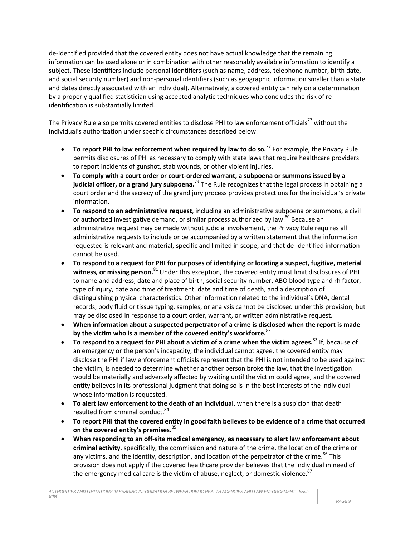de-identified provided that the covered entity does not have actual knowledge that the remaining information can be used alone or in combination with other reasonably available information to identify a subject. These identifiers include personal identifiers (such as name, address, telephone number, birth date, and social security number) and non-personal identifiers (such as geographic information smaller than a state and dates directly associated with an individual). Alternatively, a covered entity can rely on a determination by a properly qualified statistician using accepted analytic techniques who concludes the risk of reidentification is substantially limited.

The Privacy Rule also permits covered entities to disclose PHI to law enforcement officials<sup>77</sup> without the individual's authorization under specific circumstances described below.

- **To report PHI to law enforcement when required by law to do so.**<sup>78</sup> For example, the Privacy Rule permits disclosures of PHI as necessary to comply with state laws that require healthcare providers to report incidents of gunshot, stab wounds, or other violent injuries.
- **To comply with a court order or court-ordered warrant, a subpoena or summons issued by a judicial officer, or a grand jury subpoena.**<sup>79</sup> The Rule recognizes that the legal process in obtaining a court order and the secrecy of the grand jury process provides protections for the individual's private information.
- **To respond to an administrative request**, including an administrative subpoena or summons, a civil or authorized investigative demand, or similar process authorized by law.<sup>80</sup> Because an administrative request may be made without judicial involvement, the Privacy Rule requires all administrative requests to include or be accompanied by a written statement that the information requested is relevant and material, specific and limited in scope, and that de-identified information cannot be used.
- **To respond to a request for PHI for purposes of identifying or locating a suspect, fugitive, material witness, or missing person.**<sup>81</sup> Under this exception, the covered entity must limit disclosures of PHI to name and address, date and place of birth, social security number, ABO blood type and rh factor, type of injury, date and time of treatment, date and time of death, and a description of distinguishing physical characteristics. Other information related to the individual's DNA, dental records, body fluid or tissue typing, samples, or analysis cannot be disclosed under this provision, but may be disclosed in response to a court order, warrant, or written administrative request.
- **When information about a suspected perpetrator of a crime is disclosed when the report is made by the victim who is a member of the covered entity's workforce.**<sup>82</sup>
- **To respond to a request for PHI about a victim of a crime when the victim agrees.**<sup>83</sup> If, because of an emergency or the person's incapacity, the individual cannot agree, the covered entity may disclose the PHI if law enforcement officials represent that the PHI is not intended to be used against the victim, is needed to determine whether another person broke the law, that the investigation would be materially and adversely affected by waiting until the victim could agree, and the covered entity believes in its professional judgment that doing so is in the best interests of the individual whose information is requested.
- **To alert law enforcement to the death of an individual**, when there is a suspicion that death resulted from criminal conduct.<sup>84</sup>
- **To report PHI that the covered entity in good faith believes to be evidence of a crime that occurred on the covered entity's premises.**<sup>85</sup>
- **When responding to an off-site medical emergency, as necessary to alert law enforcement about criminal activity**, specifically, the commission and nature of the crime, the location of the crime or any victims, and the identity, description, and location of the perpetrator of the crime.<sup>86</sup> This provision does not apply if the covered healthcare provider believes that the individual in need of the emergency medical care is the victim of abuse, neglect, or domestic violence. $87$

*AUTHORITIES AND LIMITATIONS IN SHARING INFORMATION BETWEEN PUBLIC HEALTH AGENCIES AND LAW ENFORCEMENT –Issue Brief*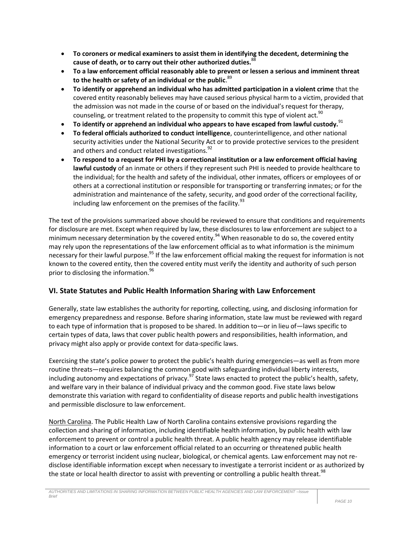- **To coroners or medical examiners to assist them in identifying the decedent, determining the cause of death, or to carry out their other authorized duties.**<sup>88</sup>
- **To a law enforcement official reasonably able to prevent or lessen a serious and imminent threat to the health or safety of an individual or the public**. 89
- **To identify or apprehend an individual who has admitted participation in a violent crime** that the covered entity reasonably believes may have caused serious physical harm to a victim, provided that the admission was not made in the course of or based on the individual's request for therapy, counseling, or treatment related to the propensity to commit this type of violent act.<sup>90</sup>
- **To identify or apprehend an individual who appears to have escaped from lawful custody.**<sup>91</sup>
- **To federal officials authorized to conduct intelligence**, counterintelligence, and other national security activities under the National Security Act or to provide protective services to the president and others and conduct related investigations.<sup>92</sup>
- **To respond to a request for PHI by a correctional institution or a law enforcement official having lawful custody** of an inmate or others if they represent such PHI is needed to provide healthcare to the individual; for the health and safety of the individual, other inmates, officers or employees of or others at a correctional institution or responsible for transporting or transferring inmates; or for the administration and maintenance of the safety, security, and good order of the correctional facility, including law enforcement on the premises of the facility. $93$

The text of the provisions summarized above should be reviewed to ensure that conditions and requirements for disclosure are met. Except when required by law, these disclosures to law enforcement are subject to a minimum necessary determination by the covered entity.<sup>94</sup> When reasonable to do so, the covered entity may rely upon the representations of the law enforcement official as to what information is the minimum necessary for their lawful purpose.<sup>95</sup> If the law enforcement official making the request for information is not known to the covered entity, then the covered entity must verify the identity and authority of such person prior to disclosing the information.<sup>96</sup>

# **VI. State Statutes and Public Health Information Sharing with Law Enforcement**

Generally, state law establishes the authority for reporting, collecting, using, and disclosing information for emergency preparedness and response. Before sharing information, state law must be reviewed with regard to each type of information that is proposed to be shared. In addition to—or in lieu of—laws specific to certain types of data, laws that cover public health powers and responsibilities, health information, and privacy might also apply or provide context for data-specific laws.

Exercising the state's police power to protect the public's health during emergencies—as well as from more routine threats—requires balancing the common good with safeguarding individual liberty interests, including autonomy and expectations of privacy.<sup>97</sup> State laws enacted to protect the public's health, safety, and welfare vary in their balance of individual privacy and the common good. Five state laws below demonstrate this variation with regard to confidentiality of disease reports and public health investigations and permissible disclosure to law enforcement.

North Carolina. The Public Health Law of North Carolina contains extensive provisions regarding the collection and sharing of information, including identifiable health information, by public health with law enforcement to prevent or control a public health threat. A public health agency may release identifiable information to a court or law enforcement official related to an occurring or threatened public health emergency or terrorist incident using nuclear, biological, or chemical agents. Law enforcement may not redisclose identifiable information except when necessary to investigate a terrorist incident or as authorized by the state or local health director to assist with preventing or controlling a public health threat.<sup>98</sup>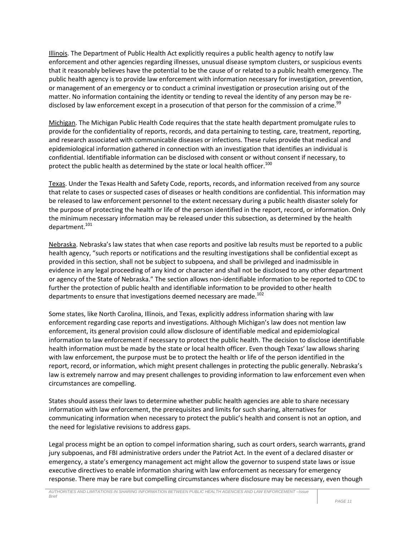Illinois. The Department of Public Health Act explicitly requires a public health agency to notify law enforcement and other agencies regarding illnesses, unusual disease symptom clusters, or suspicious events that it reasonably believes have the potential to be the cause of or related to a public health emergency. The public health agency is to provide law enforcement with information necessary for investigation, prevention, or management of an emergency or to conduct a criminal investigation or prosecution arising out of the matter. No information containing the identity or tending to reveal the identity of any person may be redisclosed by law enforcement except in a prosecution of that person for the commission of a crime.<sup>99</sup>

Michigan. The Michigan Public Health Code requires that the state health department promulgate rules to provide for the confidentiality of reports, records, and data pertaining to testing, care, treatment, reporting, and research associated with communicable diseases or infections. These rules provide that medical and epidemiological information gathered in connection with an investigation that identifies an individual is confidential. Identifiable information can be disclosed with consent or without consent if necessary, to protect the public health as determined by the state or local health officer.<sup>100</sup>

Texas. Under the Texas Health and Safety Code, reports, records, and information received from any source that relate to cases or suspected cases of diseases or health conditions are confidential. This information may be released to law enforcement personnel to the extent necessary during a public health disaster solely for the purpose of protecting the health or life of the person identified in the report, record, or information. Only the minimum necessary information may be released under this subsection, as determined by the health department.<sup>101</sup>

Nebraska. Nebraska's law states that when case reports and positive lab results must be reported to a public health agency, "such reports or notifications and the resulting investigations shall be confidential except as provided in this section, shall not be subject to subpoena, and shall be privileged and inadmissible in evidence in any legal proceeding of any kind or character and shall not be disclosed to any other department or agency of the State of Nebraska." The section allows non-identifiable information to be reported to CDC to further the protection of public health and identifiable information to be provided to other health departments to ensure that investigations deemed necessary are made.<sup>102</sup>

Some states, like North Carolina, Illinois, and Texas, explicitly address information sharing with law enforcement regarding case reports and investigations. Although Michigan's law does not mention law enforcement, its general provision could allow disclosure of identifiable medical and epidemiological information to law enforcement if necessary to protect the public health. The decision to disclose identifiable health information must be made by the state or local health officer. Even though Texas' law allows sharing with law enforcement, the purpose must be to protect the health or life of the person identified in the report, record, or information, which might present challenges in protecting the public generally. Nebraska's law is extremely narrow and may present challenges to providing information to law enforcement even when circumstances are compelling.

States should assess their laws to determine whether public health agencies are able to share necessary information with law enforcement, the prerequisites and limits for such sharing, alternatives for communicating information when necessary to protect the public's health and consent is not an option, and the need for legislative revisions to address gaps.

Legal process might be an option to compel information sharing, such as court orders, search warrants, grand jury subpoenas, and FBI administrative orders under the Patriot Act. In the event of a declared disaster or emergency, a state's emergency management act might allow the governor to suspend state laws or issue executive directives to enable information sharing with law enforcement as necessary for emergency response. There may be rare but compelling circumstances where disclosure may be necessary, even though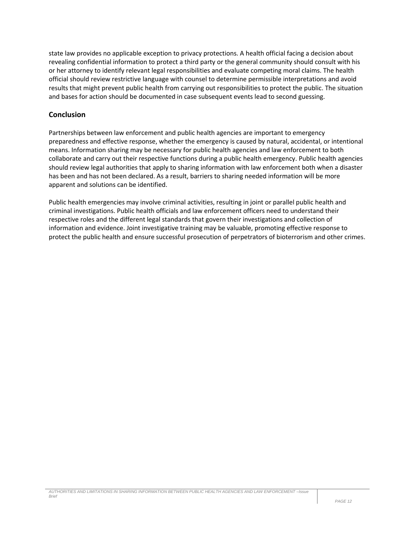state law provides no applicable exception to privacy protections. A health official facing a decision about revealing confidential information to protect a third party or the general community should consult with his or her attorney to identify relevant legal responsibilities and evaluate competing moral claims. The health official should review restrictive language with counsel to determine permissible interpretations and avoid results that might prevent public health from carrying out responsibilities to protect the public. The situation and bases for action should be documented in case subsequent events lead to second guessing.

#### **Conclusion**

Partnerships between law enforcement and public health agencies are important to emergency preparedness and effective response, whether the emergency is caused by natural, accidental, or intentional means. Information sharing may be necessary for public health agencies and law enforcement to both collaborate and carry out their respective functions during a public health emergency. Public health agencies should review legal authorities that apply to sharing information with law enforcement both when a disaster has been and has not been declared. As a result, barriers to sharing needed information will be more apparent and solutions can be identified.

Public health emergencies may involve criminal activities, resulting in joint or parallel public health and criminal investigations. Public health officials and law enforcement officers need to understand their respective roles and the different legal standards that govern their investigations and collection of information and evidence. Joint investigative training may be valuable, promoting effective response to protect the public health and ensure successful prosecution of perpetrators of bioterrorism and other crimes.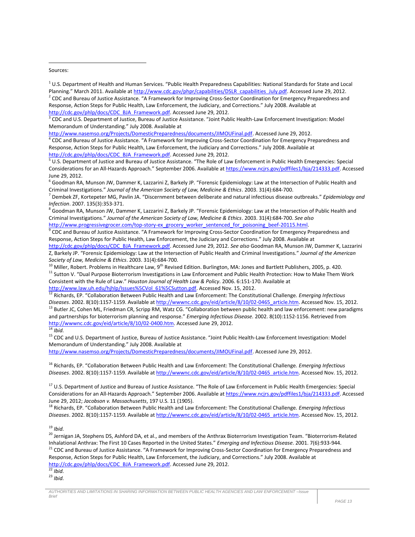#### Sources:

 $\overline{a}$ 

<sup>8</sup> Goodman RA, Munson JW, Dammer K, Lazzarini Z, Barkely JP. "Forensic Epidemiology: Law at the Intersection of Public Health and Criminal Investigations." *Journal of the American Society of Law, Medicine & Ethics*. 2003. 31(4):684-700. *See also* [http://www.progressivegrocer.com/top-story-ex\\_grocery\\_worker\\_sentenced\\_for\\_poisoning\\_beef-20115.html.](http://www.progressivegrocer.com/top-story-ex_grocery_worker_sentenced_for_poisoning_beef-20115.html)

<sup>9</sup> CDC and Bureau of Justice Assistance. "A Framework for Improving Cross-Sector Coordination for Emergency Preparedness and Response, Action Steps for Public Health, Law Enforcement, the Judiciary and Corrections." July 2008. Available at

[http://cdc.gov/phlp/docs/CDC\\_BJA\\_Framework.pdf.](http://cdc.gov/phlp/docs/CDC_BJA_Framework.pdf) Accessed June 29, 2012. *See also* Goodman RA, Munson JW, Dammer K, Lazzarini Z, Barkely JP. "Forensic Epidemiology: Law at the Intersection of Public Health and Criminal Investigations." *Journal of the American Society of Law, Medicine & Ethics*. 2003. 31(4):684-700.

 $10$  Miller, Robert. Problems in Healthcare Law, 9<sup>th</sup> Revised Edition. Burlington, MA: Jones and Bartlett Publishers, 2005, p. 420. <sup>11</sup> Sutton V. "Dual Purpose Bioterrorism Investigations in Law Enforcement and Public Health Protection: How to Make Them Work Consistent with the Rule of Law." *Houston Journal of Health Law & Policy.* 2006. 6:151-170. Available at http://www.law.uh.edu/hjhlp/Issues%5CVol 61%5CSutton.pdf. Accessed Nov. 15, 2012.

<sup>12</sup> Richards, EP. "Collaboration Between Public Health and Law Enforcement: The Constitutional Challenge. *Emerging Infectious Diseases*. 2002. 8(10):1157-1159. Available at [http://wwwnc.cdc.gov/eid/article/8/10/02-0465\\_article.htm.](http://wwwnc.cdc.gov/eid/article/8/10/02-0465_article.htm) Accessed Nov. 15, 2012. <sup>13</sup> Butler JC, Cohen ML, Friedman CR, Scripp RM, Watz CG. "Collaboration between public health and law enforcement: new paradigms and partnerships for bioterrorism planning and response." *Emerging Infectious Disease.* 2002. 8(10):1152-1156. Retrieved from [http://wwwnc.cdc.gov/eid/article/8/10/02-0400.htm.](http://wwwnc.cdc.gov/eid/article/8/10/02-0400.htm) Accessed June 29, 2012. <sup>14</sup> *Ibid.*

<sup>15</sup> CDC and U.S. Department of Justice, Bureau of Justice Assistance. "Joint Public Health-Law Enforcement Investigation: Model Memorandum of Understanding." July 2008. Available at

[http://www.nasemso.org/Projects/DomesticPreparedness/documents/JIMOUFinal.pdf.](http://www.nasemso.org/Projects/DomesticPreparedness/documents/JIMOUFinal.pdf) Accessed June 29, 2012.

<sup>16</sup> Richards, EP. "Collaboration Between Public Health and Law Enforcement: The Constitutional Challenge. *Emerging Infectious Diseases*. 2002. 8(10):1157-1159. Available at [http://wwwnc.cdc.gov/eid/article/8/10/02-0465\\_article.htm.](http://wwwnc.cdc.gov/eid/article/8/10/02-0465_article.htm) Accessed Nov. 15, 2012.

<sup>17</sup> U.S. Department of Justice and Bureau of Justice Assistance. "The Role of Law Enforcement in Public Health Emergencies: Special Considerations for an All-Hazards Approach." September 2006. Available a[t https://www.ncjrs.gov/pdffiles1/bja/214333.pdf.](https://www.ncjrs.gov/pdffiles1/bja/214333.pdf) Accessed June 29, 2012; *Jacobson v. Massachusetts*, 197 U.S. 11 (1905).

<sup>18</sup> Richards, EP. "Collaboration Between Public Health and Law Enforcement: The Constitutional Challenge. *Emerging Infectious Diseases*. 2002. 8(10):1157-1159. Available at [http://wwwnc.cdc.gov/eid/article/8/10/02-0465\\_article.htm.](http://wwwnc.cdc.gov/eid/article/8/10/02-0465_article.htm) Accessed Nov. 15, 2012.

<sup>19</sup> *Ibid.*

<sup>20</sup> Jernigan JA, Stephens DS, Ashford DA, et al., and members of the Anthrax Bioterrorism Investigation Team. "Bioterrorism-Related Inhalational Anthrax: The First 10 Cases Reported in the United States." *Emerging and Infectious Disease.* 2001. 7(6):933-944. <sup>21</sup> CDC and Bureau of Justice Assistance. "A Framework for Improving Cross-Sector Coordination for Emergency Preparedness and Response, Action Steps for Public Health, Law Enforcement, the Judiciary, and Corrections." July 2008. Available at [http://cdc.gov/phlp/docs/CDC\\_BJA\\_Framework.pdf.](http://cdc.gov/phlp/docs/CDC_BJA_Framework.pdf) Accessed June 29, 2012.

<sup>22</sup> *Ibid.* <sup>23</sup> *Ibid.*

 $1$  U.S. Department of Health and Human Services. "Public Health Preparedness Capabilities: National Standards for State and Local Planning." March 2011. Available at [http://www.cdc.gov/phpr/capabilities/DSLR\\_capabilities\\_July.pdf.](http://www.cdc.gov/phpr/capabilities/DSLR_capabilities_July.pdf) Accessed June 29, 2012. <sup>2</sup> CDC and Bureau of Justice Assistance. "A Framework for Improving Cross-Sector Coordination for Emergency Preparedness and Response, Action Steps for Public Health, Law Enforcement, the Judiciary, and Corrections." July 2008. Available at [http://cdc.gov/phlp/docs/CDC\\_BJA\\_Framework.pdf.](http://cdc.gov/phlp/docs/CDC_BJA_Framework.pdf) Accessed June 29, 2012.

<sup>&</sup>lt;sup>3</sup> CDC and U.S. Department of Justice, Bureau of Justice Assistance. "Joint Public Health-Law Enforcement Investigation: Model Memorandum of Understanding." July 2008. Available at

[http://www.nasemso.org/Projects/DomesticPreparedness/documents/JIMOUFinal.pdf.](http://www.nasemso.org/Projects/DomesticPreparedness/documents/JIMOUFinal.pdf) Accessed June 29, 2012. 4 CDC and Bureau of Justice Assistance. "A Framework for Improving Cross-Sector Coordination for Emergency Preparedness and Response, Action Steps for Public Health, Law Enforcement, the Judiciary and Corrections." July 2008. Available at [http://cdc.gov/phlp/docs/CDC\\_BJA\\_Framework.pdf.](http://cdc.gov/phlp/docs/CDC_BJA_Framework.pdf) Accessed June 29, 2012.

<sup>5</sup> U.S. Department of Justice and Bureau of Justice Assistance. "The Role of Law Enforcement in Public Health Emergencies: Special Considerations for an All-Hazards Approach." September 2006. Available a[t https://www.ncjrs.gov/pdffiles1/bja/214333.pdf.](https://www.ncjrs.gov/pdffiles1/bja/214333.pdf) Accessed June 29, 2012.

 $6$  Goodman RA, Munson JW, Dammer K, Lazzarini Z, Barkely JP. "Forensic Epidemiology: Law at the Intersection of Public Health and Criminal Investigations." *Journal of the American Society of Law, Medicine & Ethics*. 2003. 31(4):684-700.

<sup>7</sup> Dembek ZF, Kortepeter MG, Pavlin JA. "Discernment between deliberate and natural infectious disease outbreaks." *Epidemiology and Infection*. 2007. 135(3):353-371.

*AUTHORITIES AND LIMITATIONS IN SHARING INFORMATION BETWEEN PUBLIC HEALTH AGENCIES AND LAW ENFORCEMENT –Issue Brief*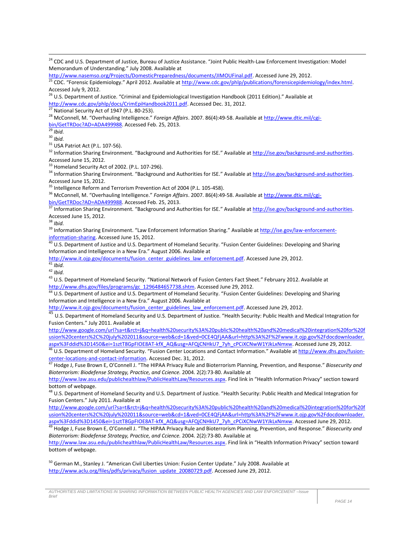[http://www.nasemso.org/Projects/DomesticPreparedness/documents/JIMOUFinal.pdf.](http://www.nasemso.org/Projects/DomesticPreparedness/documents/JIMOUFinal.pdf) Accessed June 29, 2012.

25 CDC. "Forensic Epidemiology." April 2012. Available a[t http://www.cdc.gov/phlp/publications/forensicepidemiology/index.html.](http://www.cdc.gov/phlp/publications/forensicepidemiology/index.html) Accessed July 9, 2012.

<sup>26</sup> U.S. Department of Justice. "Criminal and Epidemiological Investigation Handbook (2011 Edition)." Available at [http://www.cdc.gov/phlp/docs/CrimEpiHandbook2011.pdf.](http://www.cdc.gov/phlp/docs/CrimEpiHandbook2011.pdf) Accessed Dec. 31, 2012.

 $^{27}$  National Security Act of 1947 (P.L. 80-253).

<sup>28</sup> McConnell, M. "Overhauling Intelligence." *Foreign Affairs*. 2007. 86(4):49-58. Available a[t http://www.dtic.mil/cgi](http://www.dtic.mil/cgi-bin/GetTRDoc?AD=ADA499988)[bin/GetTRDoc?AD=ADA499988.](http://www.dtic.mil/cgi-bin/GetTRDoc?AD=ADA499988) Accessed Feb. 25, 2013.

<sup>29</sup> *Ibid.*

 $\overline{\phantom{a}}$ 

<sup>30</sup> *Ibid.*

<sup>31</sup> USA Patriot Act (P.L. 107-56).

<sup>32</sup> Information Sharing Environment. "Background and Authorities for ISE." Available at http://ise.gov/background-and-authorities. Accessed June 15, 2012.

<sup>33</sup> Homeland Security Act of 2002. (P.L. 107-296).

<sup>34</sup> Information Sharing Environment. "Background and Authorities for ISE." Available at http://ise.gov/background-and-authorities. Accessed June 15, 2012.

<sup>35</sup> Intelligence Reform and Terrorism Prevention Act of 2004 (P.L. 105-458).

<sup>36</sup> McConnell, M. "Overhauling Intelligence." *Foreign Affairs*. 2007. 86(4):49-58. Available a[t http://www.dtic.mil/cgi](http://www.dtic.mil/cgi-bin/GetTRDoc?AD=ADA499988)[bin/GetTRDoc?AD=ADA499988.](http://www.dtic.mil/cgi-bin/GetTRDoc?AD=ADA499988) Accessed Feb. 25, 2013.

37 Information Sharing Environment. "Background and Authorities for ISE." Available at http://ise.gov/background-and-authorities. Accessed June 15, 2012.

<sup>38</sup> *Ibid.*

<sup>39</sup> Information Sharing Environment. "Law Enforcement Information Sharing." Available at [http://ise.gov/law-enforcement](http://ise.gov/law-enforcement-information-sharing)[information-sharing.](http://ise.gov/law-enforcement-information-sharing) Accessed June 15, 2012.

 $^{40}$  U.S. Department of Justice and U.S. Department of Homeland Security. "Fusion Center Guidelines: Developing and Sharing Information and Intelligence in a New Era." August 2006. Available at

[http://www.it.ojp.gov/documents/fusion\\_center\\_guidelines\\_law\\_enforcement.pdf.](http://www.it.ojp.gov/documents/fusion_center_guidelines_law_enforcement.pdf) Accessed June 29, 2012.

 $41$  *Ibid.* 

<sup>42</sup> *Ibid.*

<sup>43</sup> U.S. Department of Homeland Security. "National Network of Fusion Centers Fact Sheet." February 2012. Available at [http://www.dhs.gov/files/programs/gc\\_1296484657738.shtm.](http://www.dhs.gov/files/programs/gc_1296484657738.shtm) Accessed June 29, 2012.

44 U.S. Department of Justice and U.S. Department of Homeland Security. "Fusion Center Guidelines: Developing and Sharing Information and Intelligence in a New Era." August 2006. Available at

[http://www.it.ojp.gov/documents/fusion\\_center\\_guidelines\\_law\\_enforcement.pdf.](http://www.it.ojp.gov/documents/fusion_center_guidelines_law_enforcement.pdf) Accessed June 29, 2012.

45 U.S. Department of Homeland Security and U.S. Department of Justice. "Health Security: Public Health and Medical Integration for Fusion Centers." July 2011. Available at

[http://www.google.com/url?sa=t&rct=j&q=health%20security%3A%20public%20health%20and%20medical%20integration%20for%20f](http://www.google.com/url?sa=t&rct=j&q=health%20security%3A%20public%20health%20and%20medical%20integration%20for%20fusion%20centers%2C%20july%202011&source=web&cd=1&ved=0CE4QFjAA&url=http%3A%2F%2Fwww.it.ojp.gov%2Fdocdownloader.aspx%3Fddid%3D1450&ei=1sztT8GpFIOE8AT-kfX_AQ&usg=AFQjCNHkU7_7yh_cPCiXCNwW1YJkLxNmxw) [usion%20centers%2C%20july%202011&source=web&cd=1&ved=0CE4QFjAA&url=http%3A%2F%2Fwww.it.ojp.gov%2Fdocdownloader.](http://www.google.com/url?sa=t&rct=j&q=health%20security%3A%20public%20health%20and%20medical%20integration%20for%20fusion%20centers%2C%20july%202011&source=web&cd=1&ved=0CE4QFjAA&url=http%3A%2F%2Fwww.it.ojp.gov%2Fdocdownloader.aspx%3Fddid%3D1450&ei=1sztT8GpFIOE8AT-kfX_AQ&usg=AFQjCNHkU7_7yh_cPCiXCNwW1YJkLxNmxw) [aspx%3Fddid%3D1450&ei=1sztT8GpFIOE8AT-kfX\\_AQ&usg=AFQjCNHkU7\\_7yh\\_cPCiXCNwW1YJkLxNmxw.](http://www.google.com/url?sa=t&rct=j&q=health%20security%3A%20public%20health%20and%20medical%20integration%20for%20fusion%20centers%2C%20july%202011&source=web&cd=1&ved=0CE4QFjAA&url=http%3A%2F%2Fwww.it.ojp.gov%2Fdocdownloader.aspx%3Fddid%3D1450&ei=1sztT8GpFIOE8AT-kfX_AQ&usg=AFQjCNHkU7_7yh_cPCiXCNwW1YJkLxNmxw) Accessed June 29, 2012.

<sup>46</sup> U.S. Department of Homeland Security. "Fusion Center Locations and Contact Information." Available at [http://www.dhs.gov/fusion](http://www.dhs.gov/fusion-center-locations-and-contact-information)[center-locations-and-contact-information.](http://www.dhs.gov/fusion-center-locations-and-contact-information) Accessed Dec. 31, 2012.

<sup>47</sup> Hodge J, Fuse Brown E, O'Connell J. "The HIPAA Privacy Rule and Bioterrorism Planning, Prevention, and Response." *Biosecurity and Bioterrorism: Biodefense Strategy, Practice, and Ccience.* 2004. 2(2):73-80. Available at

[http://www.law.asu.edu/publichealthlaw/PublicHealthLaw/Resources.aspx.](http://www.law.asu.edu/publichealthlaw/PublicHealthLaw/Resources.aspx) Find link in "Health Information Privacy" section toward bottom of webpage.

48 U.S. Department of Homeland Security and U.S. Department of Justice. "Health Security: Public Health and Medical Integration for Fusion Centers." July 2011. Available at

[http://www.google.com/url?sa=t&rct=j&q=health%20security%3A%20public%20health%20and%20medical%20integration%20for%20f](http://www.google.com/url?sa=t&rct=j&q=health%20security%3A%20public%20health%20and%20medical%20integration%20for%20fusion%20centers%2C%20july%202011&source=web&cd=1&ved=0CE4QFjAA&url=http%3A%2F%2Fwww.it.ojp.gov%2Fdocdownloader.aspx%3Fddid%3D1450&ei=1sztT8GpFIOE8AT-kfX_AQ&usg=AFQjCNHkU7_7yh_cPCiXCNwW1YJkLxNmxw) [usion%20centers%2C%20july%202011&source=web&cd=1&ved=0CE4QFjAA&url=http%3A%2F%2Fwww.it.ojp.gov%2Fdocdownloader.](http://www.google.com/url?sa=t&rct=j&q=health%20security%3A%20public%20health%20and%20medical%20integration%20for%20fusion%20centers%2C%20july%202011&source=web&cd=1&ved=0CE4QFjAA&url=http%3A%2F%2Fwww.it.ojp.gov%2Fdocdownloader.aspx%3Fddid%3D1450&ei=1sztT8GpFIOE8AT-kfX_AQ&usg=AFQjCNHkU7_7yh_cPCiXCNwW1YJkLxNmxw) [aspx%3Fddid%3D1450&ei=1sztT8GpFIOE8AT-kfX\\_AQ&usg=AFQjCNHkU7\\_7yh\\_cPCiXCNwW1YJkLxNmxw.](http://www.google.com/url?sa=t&rct=j&q=health%20security%3A%20public%20health%20and%20medical%20integration%20for%20fusion%20centers%2C%20july%202011&source=web&cd=1&ved=0CE4QFjAA&url=http%3A%2F%2Fwww.it.ojp.gov%2Fdocdownloader.aspx%3Fddid%3D1450&ei=1sztT8GpFIOE8AT-kfX_AQ&usg=AFQjCNHkU7_7yh_cPCiXCNwW1YJkLxNmxw) Accessed June 29, 2012.

<sup>49</sup> Hodge J, Fuse Brown E, O'Connell J. "The HIPAA Privacy Rule and Bioterrorism Planning, Prevention, and Response." *Biosecurity and Bioterrorism: Biodefense Strategy, Practice, and Ccience.* 2004. 2(2):73-80. Available at

[http://www.law.asu.edu/publichealthlaw/PublicHealthLaw/Resources.aspx.](http://www.law.asu.edu/publichealthlaw/PublicHealthLaw/Resources.aspx) Find link in "Health Information Privacy" section toward bottom of webpage.

<sup>50</sup> German M., Stanley J. "American Civil Liberties Union: Fusion Center Update." July 2008. Available at [http://www.aclu.org/files/pdfs/privacy/fusion\\_update\\_20080729.pdf.](http://www.aclu.org/files/pdfs/privacy/fusion_update_20080729.pdf) Accessed June 29, 2012.

<sup>&</sup>lt;sup>24</sup> CDC and U.S. Department of Justice, Bureau of Justice Assistance. "Joint Public Health-Law Enforcement Investigation: Model Memorandum of Understanding." July 2008. Available at

*AUTHORITIES AND LIMITATIONS IN SHARING INFORMATION BETWEEN PUBLIC HEALTH AGENCIES AND LAW ENFORCEMENT –Issue Brief*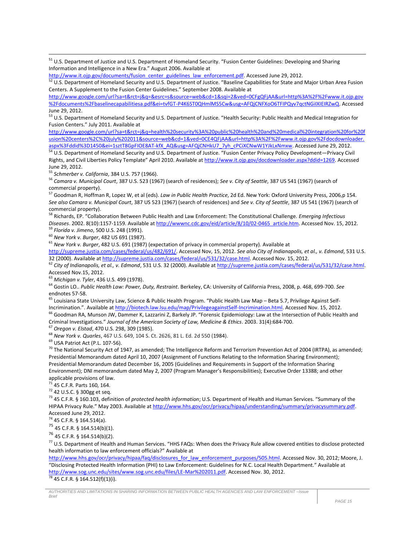<sup>51</sup> U.S. Department of Justice and U.S. Department of Homeland Security. "Fusion Center Guidelines: Developing and Sharing Information and Intelligence in a New Era." August 2006. Available at

[http://www.it.ojp.gov/documents/fusion\\_center\\_guidelines\\_law\\_enforcement.pdf.](http://www.it.ojp.gov/documents/fusion_center_guidelines_law_enforcement.pdf) Accessed June 29, 2012.

52 U.S. Department of Homeland Security and U.S. Department of Justice. "Baseline Capabilities for State and Major Urban Area Fusion Centers. A Supplement to the Fusion Center Guidelines." September 2008. Available at

[http://www.google.com/url?sa=t&rct=j&q=&esrc=s&source=web&cd=1&sqi=2&ved=0CFgQFjAA&url=http%3A%2F%2Fwww.it.ojp.gov](http://www.google.com/url?sa=t&rct=j&q=&esrc=s&source=web&cd=1&sqi=2&ved=0CFgQFjAA&url=http%3A%2F%2Fwww.it.ojp.gov%2Fdocuments%2Fbaselinecapabilitiesa.pdf&ei=tvfGT-P4K6ST0QHmlMS5Cw&usg=AFQjCNFXoO6TFIPQyv7qctNGiIXIEIRZwQ) [%2Fdocuments%2Fbaselinecapabilitiesa.pdf&ei=tvfGT-P4K6ST0QHmlMS5Cw&usg=AFQjCNFXoO6TFIPQyv7qctNGiIXIEIRZwQ.](http://www.google.com/url?sa=t&rct=j&q=&esrc=s&source=web&cd=1&sqi=2&ved=0CFgQFjAA&url=http%3A%2F%2Fwww.it.ojp.gov%2Fdocuments%2Fbaselinecapabilitiesa.pdf&ei=tvfGT-P4K6ST0QHmlMS5Cw&usg=AFQjCNFXoO6TFIPQyv7qctNGiIXIEIRZwQ) Accessed June 29, 2012.

53 U.S. Department of Homeland Security and U.S. Department of Justice. "Health Security: Public Health and Medical Integration for Fusion Centers." July 2011. Available at

[http://www.google.com/url?sa=t&rct=j&q=health%20security%3A%20public%20health%20and%20medical%20integration%20for%20f](http://www.google.com/url?sa=t&rct=j&q=health%20security%3A%20public%20health%20and%20medical%20integration%20for%20fusion%20centers%2C%20july%202011&source=web&cd=1&ved=0CE4QFjAA&url=http%3A%2F%2Fwww.it.ojp.gov%2Fdocdownloader.aspx%3Fddid%3D1450&ei=1sztT8GpFIOE8AT-kfX_AQ&usg=AFQjCNHkU7_7yh_cPCiXCNwW1YJkLxNmxw) [usion%20centers%2C%20july%202011&source=web&cd=1&ved=0CE4QFjAA&url=http%3A%2F%2Fwww.it.ojp.gov%2Fdocdownloader.](http://www.google.com/url?sa=t&rct=j&q=health%20security%3A%20public%20health%20and%20medical%20integration%20for%20fusion%20centers%2C%20july%202011&source=web&cd=1&ved=0CE4QFjAA&url=http%3A%2F%2Fwww.it.ojp.gov%2Fdocdownloader.aspx%3Fddid%3D1450&ei=1sztT8GpFIOE8AT-kfX_AQ&usg=AFQjCNHkU7_7yh_cPCiXCNwW1YJkLxNmxw) [aspx%3Fddid%3D1450&ei=1sztT8GpFIOE8AT-kfX\\_AQ&usg=AFQjCNHkU7\\_7yh\\_cPCiXCNwW1YJkLxNmxw.](http://www.google.com/url?sa=t&rct=j&q=health%20security%3A%20public%20health%20and%20medical%20integration%20for%20fusion%20centers%2C%20july%202011&source=web&cd=1&ved=0CE4QFjAA&url=http%3A%2F%2Fwww.it.ojp.gov%2Fdocdownloader.aspx%3Fddid%3D1450&ei=1sztT8GpFIOE8AT-kfX_AQ&usg=AFQjCNHkU7_7yh_cPCiXCNwW1YJkLxNmxw) Accessed June 29, 2012.

<sup>54</sup> U.S. Department of Homeland Security and U.S. Department of Justice. "Fusion Center Privacy Policy Development—Privacy Civil Rights, and Civil Liberties Policy Template" April 2010. Available at [http://www.it.ojp.gov/docdownloader.aspx?ddid=1269.](http://www.it.ojp.gov/docdownloader.aspx?ddid=1269) Accessed June 29, 2012.

<sup>55</sup> *Schmerber v. California*, 384 U.S. 757 (1966).

 $\overline{\phantom{a}}$ 

<sup>56</sup> *Camara v. Municipal Court*, 387 U.S. 523 (1967) (search of residences); *See v. City of Seattle*, 387 US 541 (1967) (search of commercial property).

<sup>57</sup> Goodman R, Hoffman R, Lopez W, et al (eds). *Law in Public Health Practice*, 2d Ed. New York: Oxford University Press, 2006,p 154. *See also Camara v. Municipal Court*, 387 US 523 (1967) (search of residences) and *See v. City of Seattle*, 387 US 541 (1967) (search of commercial property).

<sup>58</sup> Richards, EP. "Collaboration Between Public Health and Law Enforcement: The Constitutional Challenge. *Emerging Infectious Diseases*. 2002. 8(10):1157-1159. Available at [http://wwwnc.cdc.gov/eid/article/8/10/02-0465\\_article.htm.](http://wwwnc.cdc.gov/eid/article/8/10/02-0465_article.htm) Accessed Nov. 15, 2012.

<sup>59</sup> *Florida v. Jimeno*, 500 U.S. 248 (1991). <sup>60</sup> *New York v. Burger*, 482 US 691 (1987).

<sup>61</sup> *New York v. Burger*, 482 U.S. 691 (1987) (expectation of privacy in commercial property). Available at

[http://supreme.justia.com/cases/federal/us/482/691/.](http://supreme.justia.com/cases/federal/us/482/691/) Accessed Nov, 15, 2012. *See also City of Indianapolis, et al., v. Edmond*, 531 U.S. 32 (2000). Available a[t http://supreme.justia.com/cases/federal/us/531/32/case.html.](http://supreme.justia.com/cases/federal/us/531/32/case.html) Accessed Nov. 15, 2012.

<sup>62</sup> *City of Indianapolis, et al., v. Edmond*, 531 U.S. 32 (2000). Available a[t http://supreme.justia.com/cases/federal/us/531/32/case.html.](http://supreme.justia.com/cases/federal/us/531/32/case.html)  Accessed Nov.15, 2012.

<sup>63</sup> *Michigan v. Tyler*, 436 U.S. 499 (1978).

<sup>64</sup> Gostin LO.. *Public Health Law: Power, Duty, Restraint*. Berkeley, CA: University of California Press, 2008, p. 468, 699-700. *See* endnotes 57-58.

<sup>65</sup> Louisiana State University Law, Science & Public Health Program. "Public Health Law Map – Beta 5.7, Privilege Against Self-Incrimination.". Available a[t http://biotech.law.lsu.edu/map/PrivilegeagainstSelf-Incrimination.html.](http://biotech.law.lsu.edu/map/PrivilegeagainstSelf-Incrimination.html) Accessed Nov. 15, 2012.

<sup>66</sup> Goodman RA, Munson JW, Dammer K, Lazzarini Z, Barkely JP. "Forensic Epidemiology: Law at the Intersection of Public Health and Criminal Investigations." *Journal of the American Society of Law, Medicine & Ethics*. 2003. 31(4):684-700.

<sup>67</sup> *Oregon v. Elstad*, 470 U.S. 298, 309 (1985).

<sup>68</sup> *New York v. Quarles*, 467 U.S. 649, 104 S. Ct. 2626, 81 L. Ed. 2d 550 (1984).

<sup>69</sup> USA Patriot Act (P.L. 107-56).

<sup>70</sup> The National Security Act of 1947, as amended; The Intelligence Reform and Terrorism Prevention Act of 2004 (IRTPA), as amended; Presidential Memorandum dated April 10, 2007 (Assignment of Functions Relating to the Information Sharing Environment); Presidential Memorandum dated December 16, 2005 (Guidelines and Requirements in Support of the Information Sharing Environment); DNI memorandum dated May 2, 2007 (Program Manager's Responsibilities); Executive Order 13388; and other applicable provisions of law.

 $71$  45 C.F.R. Parts 160, 164.

<sup>72</sup> 42 U.S.C. § 300gg et seq.

<sup>73</sup> 45 C.F.R. § 160.103, definition of *protected health information*; U.S. Department of Health and Human Services. "Summary of the HIPAA Privacy Rule." May 2003. Available at [http://www.hhs.gov/ocr/privacy/hipaa/understanding/summary/privacysummary.pdf.](http://www.hhs.gov/ocr/privacy/hipaa/understanding/summary/privacysummary.pdf) Accessed June 29, 2012.

<sup>74</sup> 45 C.F.R. § 164.514(a).

<sup>75</sup> 45 C.F.R. § 164.514(b)(1).

<sup>76</sup> 45 C.F.R. § 164.514(b)(2).

<sup>77</sup> U.S. Department of Health and Human Services. "HHS FAQs: When does the Privacy Rule allow covered entities to disclose protected health information to law enforcement officials?" Available at

[http://www.hhs.gov/ocr/privacy/hipaa/faq/disclosures\\_for\\_law\\_enforcement\\_purposes/505.html.](http://www.hhs.gov/ocr/privacy/hipaa/faq/disclosures_for_law_enforcement_purposes/505.html) Accessed Nov. 30, 2012; Moore, J. "Disclosing Protected Health Information (PHI) to Law Enforcement: Guidelines for N.C. Local Health Department." Available at [http://www.sog.unc.edu/sites/www.sog.unc.edu/files/LE-Mar%202011.pdf.](http://www.sog.unc.edu/sites/www.sog.unc.edu/files/LE-Mar%202011.pdf) Accessed Nov. 30, 2012. <sup>78</sup> 45 C.F.R. § 164.512(f)(1)(i).

*AUTHORITIES AND LIMITATIONS IN SHARING INFORMATION BETWEEN PUBLIC HEALTH AGENCIES AND LAW ENFORCEMENT –Issue Brief*